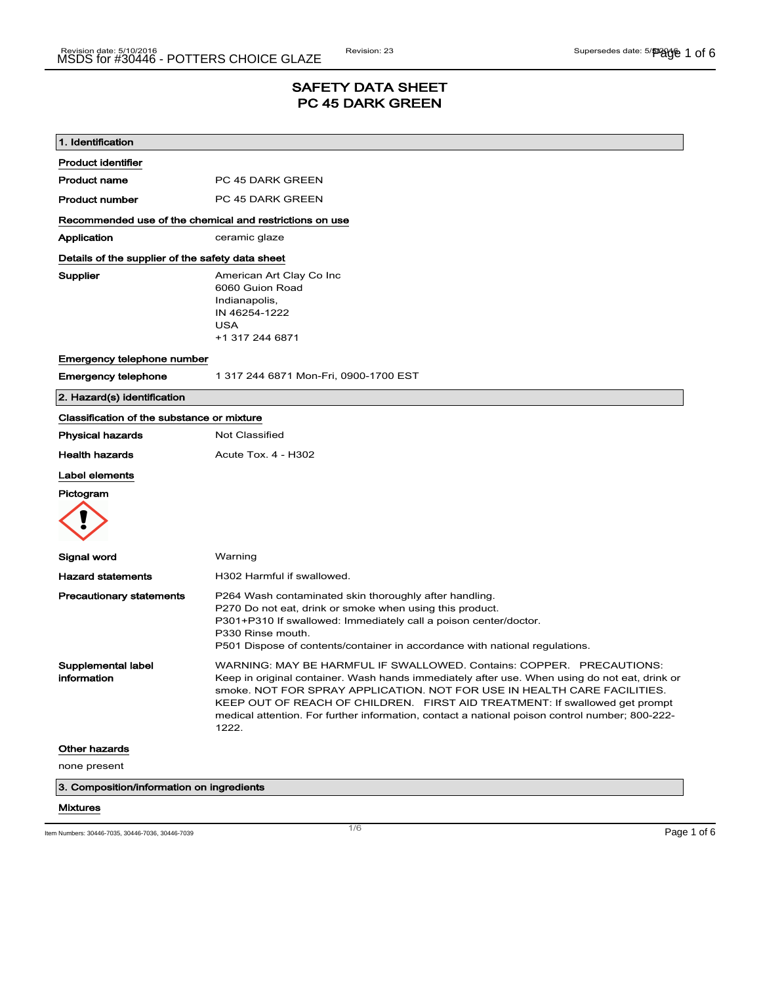# SAFETY DATA SHEET PC 45 DARK GREEN

| P301+P310 If swallowed: Immediately call a poison center/doctor.<br>P501 Dispose of contents/container in accordance with national regulations.                                                                                                                                                                                                                                                                                    |
|------------------------------------------------------------------------------------------------------------------------------------------------------------------------------------------------------------------------------------------------------------------------------------------------------------------------------------------------------------------------------------------------------------------------------------|
| WARNING: MAY BE HARMFUL IF SWALLOWED. Contains: COPPER. PRECAUTIONS:<br>Keep in original container. Wash hands immediately after use. When using do not eat, drink or<br>smoke. NOT FOR SPRAY APPLICATION. NOT FOR USE IN HEALTH CARE FACILITIES.<br>KEEP OUT OF REACH OF CHILDREN. FIRST AID TREATMENT: If swallowed get prompt<br>medical attention. For further information, contact a national poison control number; 800-222- |
|                                                                                                                                                                                                                                                                                                                                                                                                                                    |
|                                                                                                                                                                                                                                                                                                                                                                                                                                    |
|                                                                                                                                                                                                                                                                                                                                                                                                                                    |
|                                                                                                                                                                                                                                                                                                                                                                                                                                    |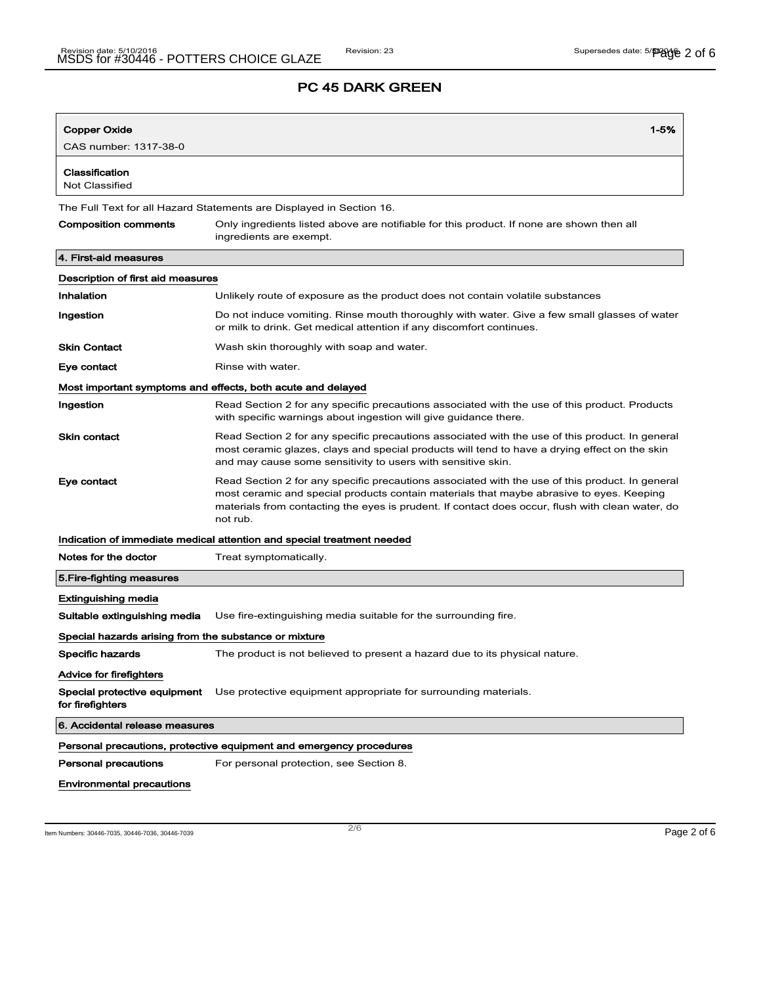| Copper Oxide                                          | $1 - 5%$                                                                                                                                                                                                                                                                                                    |  |
|-------------------------------------------------------|-------------------------------------------------------------------------------------------------------------------------------------------------------------------------------------------------------------------------------------------------------------------------------------------------------------|--|
| CAS number: 1317-38-0                                 |                                                                                                                                                                                                                                                                                                             |  |
| Classification<br><b>Not Classified</b>               |                                                                                                                                                                                                                                                                                                             |  |
|                                                       | The Full Text for all Hazard Statements are Displayed in Section 16.                                                                                                                                                                                                                                        |  |
| <b>Composition comments</b>                           | Only ingredients listed above are notifiable for this product. If none are shown then all<br>ingredients are exempt.                                                                                                                                                                                        |  |
| 4. First-aid measures                                 |                                                                                                                                                                                                                                                                                                             |  |
| Description of first aid measures                     |                                                                                                                                                                                                                                                                                                             |  |
| Inhalation                                            | Unlikely route of exposure as the product does not contain volatile substances                                                                                                                                                                                                                              |  |
| Ingestion                                             | Do not induce vomiting. Rinse mouth thoroughly with water. Give a few small glasses of water<br>or milk to drink. Get medical attention if any discomfort continues.                                                                                                                                        |  |
| <b>Skin Contact</b>                                   | Wash skin thoroughly with soap and water.                                                                                                                                                                                                                                                                   |  |
| Eye contact                                           | Rinse with water.                                                                                                                                                                                                                                                                                           |  |
|                                                       | Most important symptoms and effects, both acute and delayed                                                                                                                                                                                                                                                 |  |
| Ingestion                                             | Read Section 2 for any specific precautions associated with the use of this product. Products<br>with specific warnings about ingestion will give guidance there.                                                                                                                                           |  |
| <b>Skin contact</b>                                   | Read Section 2 for any specific precautions associated with the use of this product. In general<br>most ceramic glazes, clays and special products will tend to have a drying effect on the skin<br>and may cause some sensitivity to users with sensitive skin.                                            |  |
| Eye contact                                           | Read Section 2 for any specific precautions associated with the use of this product. In general<br>most ceramic and special products contain materials that maybe abrasive to eyes. Keeping<br>materials from contacting the eyes is prudent. If contact does occur, flush with clean water, do<br>not rub. |  |
|                                                       | Indication of immediate medical attention and special treatment needed                                                                                                                                                                                                                                      |  |
| Notes for the doctor                                  | Treat symptomatically.                                                                                                                                                                                                                                                                                      |  |
| 5. Fire-fighting measures                             |                                                                                                                                                                                                                                                                                                             |  |
| Extinguishing media                                   |                                                                                                                                                                                                                                                                                                             |  |
| Suitable extinguishing media                          | Use fire-extinguishing media suitable for the surrounding fire.                                                                                                                                                                                                                                             |  |
| Special hazards arising from the substance or mixture |                                                                                                                                                                                                                                                                                                             |  |
| Specific hazards                                      | The product is not believed to present a hazard due to its physical nature.                                                                                                                                                                                                                                 |  |
| Advice for firefighters                               |                                                                                                                                                                                                                                                                                                             |  |
| Special protective equipment<br>for firefighters      | Use protective equipment appropriate for surrounding materials.                                                                                                                                                                                                                                             |  |
| 6. Accidental release measures                        |                                                                                                                                                                                                                                                                                                             |  |
|                                                       | Personal precautions, protective equipment and emergency procedures                                                                                                                                                                                                                                         |  |
| <b>Personal precautions</b>                           | For personal protection, see Section 8.                                                                                                                                                                                                                                                                     |  |
| <b>Environmental precautions</b>                      |                                                                                                                                                                                                                                                                                                             |  |

Item Numbers: 30446-7035, 30446-7036, 30446-7039 Page 2 of 6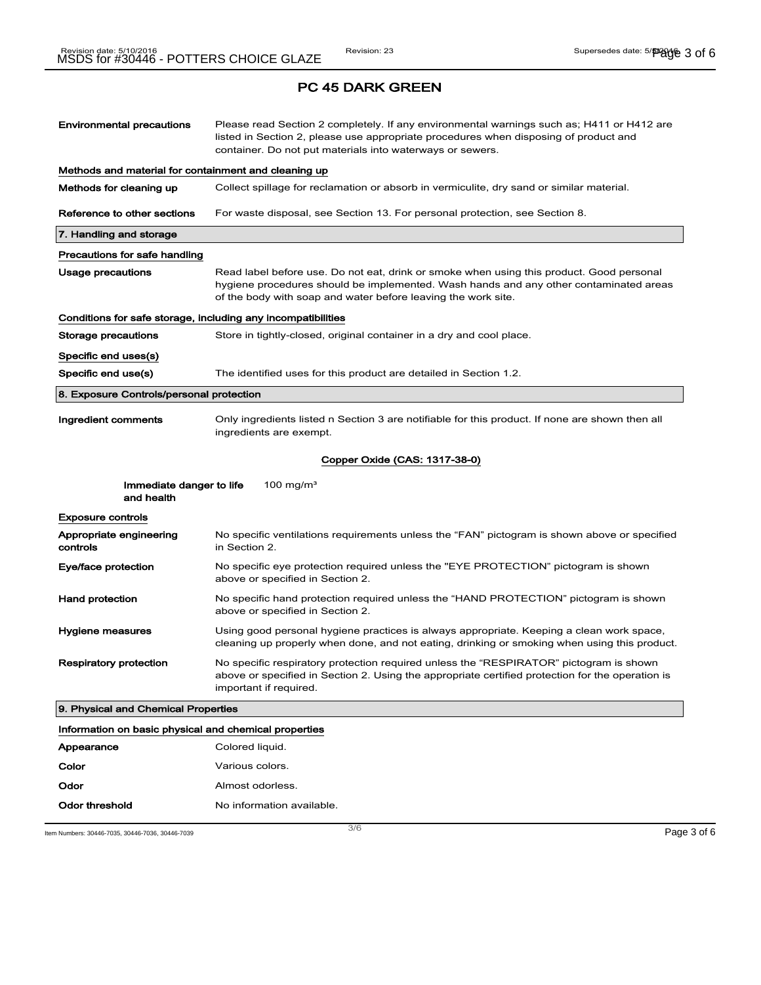| <b>Environmental precautions</b>                             | Please read Section 2 completely. If any environmental warnings such as; H411 or H412 are<br>listed in Section 2, please use appropriate procedures when disposing of product and<br>container. Do not put materials into waterways or sewers.     |  |  |
|--------------------------------------------------------------|----------------------------------------------------------------------------------------------------------------------------------------------------------------------------------------------------------------------------------------------------|--|--|
| Methods and material for containment and cleaning up         |                                                                                                                                                                                                                                                    |  |  |
| Methods for cleaning up                                      | Collect spillage for reclamation or absorb in vermiculite, dry sand or similar material.                                                                                                                                                           |  |  |
| Reference to other sections                                  | For waste disposal, see Section 13. For personal protection, see Section 8.                                                                                                                                                                        |  |  |
| 7. Handling and storage                                      |                                                                                                                                                                                                                                                    |  |  |
| Precautions for safe handling                                |                                                                                                                                                                                                                                                    |  |  |
| Usage precautions                                            | Read label before use. Do not eat, drink or smoke when using this product. Good personal<br>hygiene procedures should be implemented. Wash hands and any other contaminated areas<br>of the body with soap and water before leaving the work site. |  |  |
| Conditions for safe storage, including any incompatibilities |                                                                                                                                                                                                                                                    |  |  |
| Storage precautions                                          | Store in tightly-closed, original container in a dry and cool place.                                                                                                                                                                               |  |  |
| Specific end uses(s)                                         |                                                                                                                                                                                                                                                    |  |  |
| Specific end use(s)                                          | The identified uses for this product are detailed in Section 1.2.                                                                                                                                                                                  |  |  |
| 8. Exposure Controls/personal protection                     |                                                                                                                                                                                                                                                    |  |  |
| Ingredient comments                                          | Only ingredients listed n Section 3 are notifiable for this product. If none are shown then all<br>ingredients are exempt.                                                                                                                         |  |  |
|                                                              | Copper Oxide (CAS: 1317-38-0)                                                                                                                                                                                                                      |  |  |
| Immediate danger to life<br>and health                       | 100 mg/m <sup>3</sup>                                                                                                                                                                                                                              |  |  |
| <b>Exposure controls</b>                                     |                                                                                                                                                                                                                                                    |  |  |
| Appropriate engineering<br>controls                          | No specific ventilations requirements unless the "FAN" pictogram is shown above or specified<br>in Section 2.                                                                                                                                      |  |  |
| Eye/face protection                                          | No specific eye protection required unless the "EYE PROTECTION" pictogram is shown<br>above or specified in Section 2.                                                                                                                             |  |  |
| <b>Hand protection</b>                                       | No specific hand protection required unless the "HAND PROTECTION" pictogram is shown<br>above or specified in Section 2.                                                                                                                           |  |  |
| Hygiene measures                                             | Using good personal hygiene practices is always appropriate. Keeping a clean work space,<br>cleaning up properly when done, and not eating, drinking or smoking when using this product.                                                           |  |  |
| Respiratory protection                                       | No specific respiratory protection required unless the "RESPIRATOR" pictogram is shown<br>above or specified in Section 2. Using the appropriate certified protection for the operation is<br>important if required.                               |  |  |
| 9. Physical and Chemical Properties                          |                                                                                                                                                                                                                                                    |  |  |
| Information on basic physical and chemical properties        |                                                                                                                                                                                                                                                    |  |  |
| Appearance                                                   | Colored liquid.                                                                                                                                                                                                                                    |  |  |
| Color                                                        | Various colors.                                                                                                                                                                                                                                    |  |  |
| Odor                                                         | Almost odorless.                                                                                                                                                                                                                                   |  |  |
| Odor threshold                                               | No information available.                                                                                                                                                                                                                          |  |  |

Item Numbers: 30446-7035, 30446-7036, 30446-7039 Page 3 of 6

3/ 6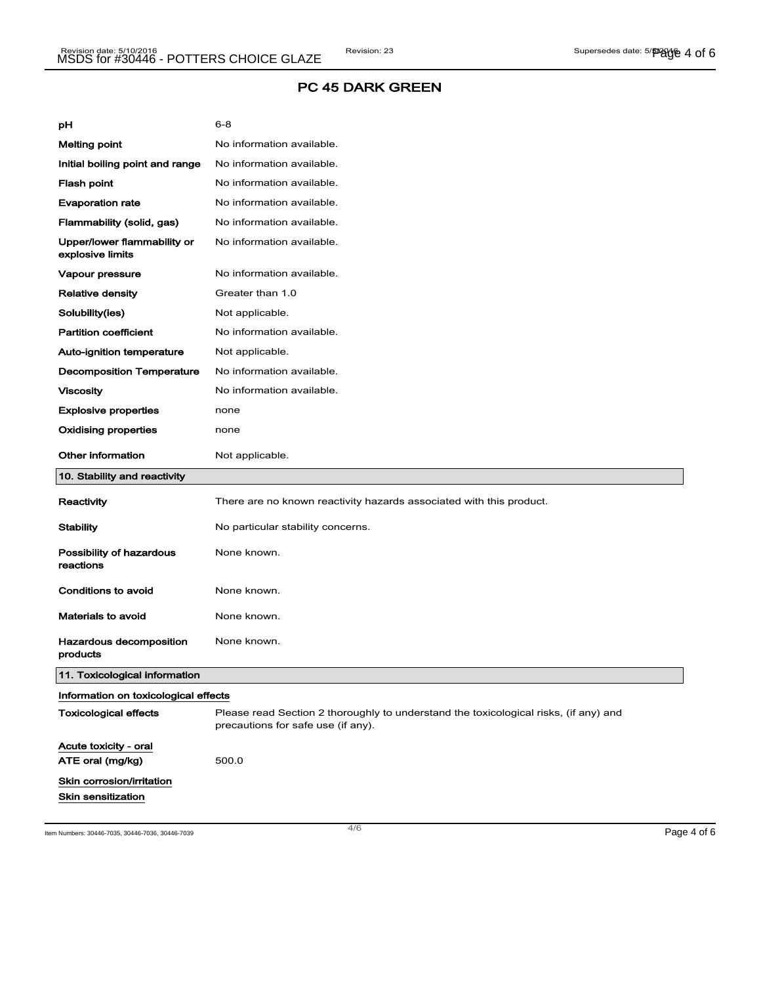| рH                                              | $6 - 8$                                                                                                                    |
|-------------------------------------------------|----------------------------------------------------------------------------------------------------------------------------|
| <b>Melting point</b>                            | No information available.                                                                                                  |
| Initial boiling point and range                 | No information available.                                                                                                  |
| <b>Flash point</b>                              | No information available.                                                                                                  |
| <b>Evaporation rate</b>                         | No information available.                                                                                                  |
| Flammability (solid, gas)                       | No information available.                                                                                                  |
| Upper/lower flammability or<br>explosive limits | No information available.                                                                                                  |
| Vapour pressure                                 | No information available.                                                                                                  |
| <b>Relative density</b>                         | Greater than 1.0                                                                                                           |
| Solubility(ies)                                 | Not applicable.                                                                                                            |
| <b>Partition coefficient</b>                    | No information available.                                                                                                  |
| Auto-ignition temperature                       | Not applicable.                                                                                                            |
| <b>Decomposition Temperature</b>                | No information available.                                                                                                  |
| <b>Viscosity</b>                                | No information available.                                                                                                  |
| <b>Explosive properties</b>                     | none                                                                                                                       |
| <b>Oxidising properties</b>                     | none                                                                                                                       |
| <b>Other information</b>                        | Not applicable.                                                                                                            |
|                                                 |                                                                                                                            |
| 10. Stability and reactivity                    |                                                                                                                            |
| Reactivity                                      | There are no known reactivity hazards associated with this product.                                                        |
| <b>Stability</b>                                | No particular stability concerns.                                                                                          |
| Possibility of hazardous<br>reactions           | None known.                                                                                                                |
| Conditions to avoid                             | None known.                                                                                                                |
| Materials to avoid                              | None known.                                                                                                                |
| Hazardous decomposition<br>products             | None known.                                                                                                                |
| 11. Toxicological information                   |                                                                                                                            |
| Information on toxicological effects            |                                                                                                                            |
| <b>Toxicological effects</b>                    | Please read Section 2 thoroughly to understand the toxicological risks, (if any) and<br>precautions for safe use (if any). |
| Acute toxicity - oral<br>ATE oral (mg/kg)       | 500.0                                                                                                                      |
| Skin corrosion/irritation                       |                                                                                                                            |

Item Numbers: 30446-7035, 30446-7036, 30446-7039 Page 4 of 6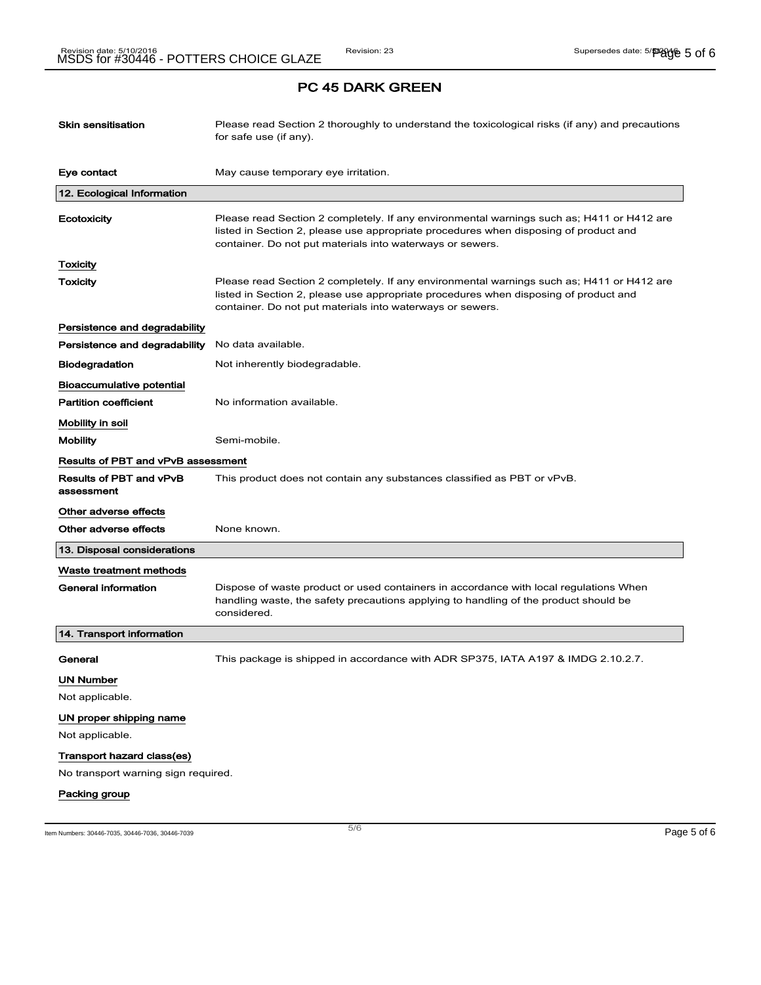| <b>Skin sensitisation</b>                    | Please read Section 2 thoroughly to understand the toxicological risks (if any) and precautions<br>for safe use (if any).                                                                                                                      |
|----------------------------------------------|------------------------------------------------------------------------------------------------------------------------------------------------------------------------------------------------------------------------------------------------|
| Eye contact                                  | May cause temporary eye irritation.                                                                                                                                                                                                            |
| 12. Ecological Information                   |                                                                                                                                                                                                                                                |
| Ecotoxicity                                  | Please read Section 2 completely. If any environmental warnings such as; H411 or H412 are<br>listed in Section 2, please use appropriate procedures when disposing of product and<br>container. Do not put materials into waterways or sewers. |
| Toxicity                                     |                                                                                                                                                                                                                                                |
| Toxicity                                     | Please read Section 2 completely. If any environmental warnings such as; H411 or H412 are<br>listed in Section 2, please use appropriate procedures when disposing of product and<br>container. Do not put materials into waterways or sewers. |
| Persistence and degradability                |                                                                                                                                                                                                                                                |
| Persistence and degradability                | No data available.                                                                                                                                                                                                                             |
| <b>Biodegradation</b>                        | Not inherently biodegradable.                                                                                                                                                                                                                  |
| Bioaccumulative potential                    |                                                                                                                                                                                                                                                |
| <b>Partition coefficient</b>                 | No information available.                                                                                                                                                                                                                      |
| Mobility in soil                             |                                                                                                                                                                                                                                                |
| <b>Mobility</b>                              | Semi-mobile.                                                                                                                                                                                                                                   |
| Results of PBT and vPvB assessment           |                                                                                                                                                                                                                                                |
| <b>Results of PBT and vPvB</b><br>assessment | This product does not contain any substances classified as PBT or vPvB.                                                                                                                                                                        |
| Other adverse effects                        |                                                                                                                                                                                                                                                |
| Other adverse effects                        | None known.                                                                                                                                                                                                                                    |
| 13. Disposal considerations                  |                                                                                                                                                                                                                                                |
| Waste treatment methods                      |                                                                                                                                                                                                                                                |
| General information                          | Dispose of waste product or used containers in accordance with local regulations When<br>handling waste, the safety precautions applying to handling of the product should be<br>considered.                                                   |
| 14. Transport information                    |                                                                                                                                                                                                                                                |
| General                                      | This package is shipped in accordance with ADR SP375, IATA A197 & IMDG 2.10.2.7.                                                                                                                                                               |
| <b>UN Number</b>                             |                                                                                                                                                                                                                                                |
| Not applicable.                              |                                                                                                                                                                                                                                                |
| UN proper shipping name                      |                                                                                                                                                                                                                                                |
| Not applicable.                              |                                                                                                                                                                                                                                                |
| Transport hazard class(es)                   |                                                                                                                                                                                                                                                |
| No transport warning sign required.          |                                                                                                                                                                                                                                                |
| Packing group                                |                                                                                                                                                                                                                                                |